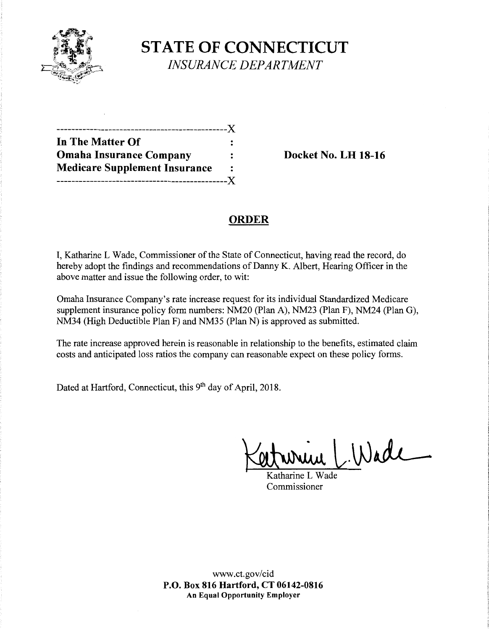

**STATE OF CONNECTICUT**  *INSURANCE DEPARTMENT* 

| -------------------------------      |                |
|--------------------------------------|----------------|
| In The Matter Of                     |                |
| <b>Omaha Insurance Company</b>       |                |
| <b>Medicare Supplement Insurance</b> | $\ddot{\cdot}$ |
| .                                    |                |

**Docket No. LH 18-16** 

# **ORDER**

I, Katharine L Wade, Commissioner of the State of Connecticut, having read the record, do hereby adopt the findings and recommendations of Danny K. Albert, Hearing Officer in the above matter and issue the following order, to wit:

Omaha Insurance Company's rate increase request for its individual Standardized Medicare supplement insurance policy form numbers: NM20 (Plan A), NM23 (Plan F), NM24 (Plan G), NM34 (High Deductible Plan F) and NM35 (Plan N) is approved as submitted.

The rate increase approved herein is reasonable in relationship to the benefits, estimated claim costs and anticipated loss ratios the company can reasonable expect on these policy forms.

Dated at Hartford, Connecticut, this 9<sup>th</sup> day of April, 2018.

u U.Wade

Katharine L Wade Commissioner

www.ct.gov/cid **P.O. Box 816 Hartford, CT 06142-0816 An Equal Opportunity Employer**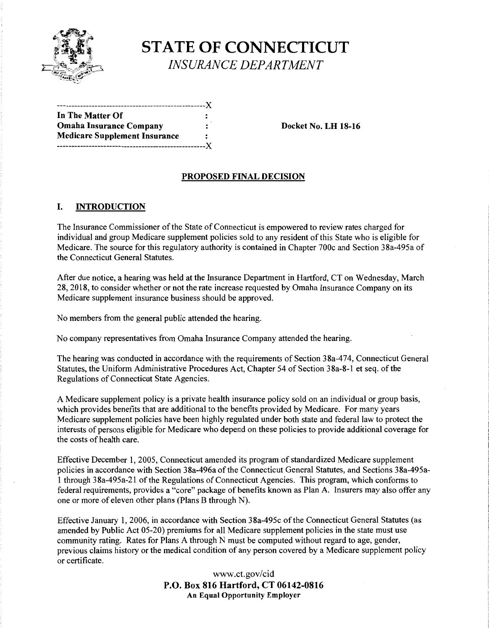

# **STATE OF CONNECTICUT**  *INSURANCE DEPARTMENT*

| In The Matter Of                     |   |
|--------------------------------------|---|
| <b>Omaha Insurance Company</b>       |   |
| <b>Medicare Supplement Insurance</b> |   |
| -------------------------            | Y |

**Docket No. LH 18-16** 

## **PROPOSED FINAL DECISION**

### I. **INTRODUCTION**

The Insurance Commissioner of the State of Connecticut is empowered to review rates charged for individual and group Medicare supplement policies sold to any resident of this State who is eligible for Medicare. The source for this regulatory authority is contained in Chapter 700c and Section 38a-495a of the Connecticut General Statutes.

After due notice, a hearing was held at the Insurance Department in Hartford, CT on Wednesday, March 28, 2018, to consider whether or not the rate increase requested by Omaha Insurance Company on its Medicare supplement insurance business should be approved.

No members from the general public attended the hearing.

No company representatives from Omaha Insurance Company attended the hearing.

The hearing was conducted in accordance with the requirements of Section 38a-474, Connecticut General Statutes, the Uniform Administrative Procedures Act, Chapter 54 of Section 38a-8-l et seq. of the Regulations of Connecticut State Agencies.

A Medicare supplement policy is a private health insurance policy sold on an individual or group basis, which provides benefits that are additional to the benefits provided by Medicare. For many years Medicare supplement policies have been highly regulated under both state and federal law to protect the interests of persons eligible for Medicare who depend on these policies to provide additional coverage for the costs of health care.

Effective December 1, 2005, Connecticut amended its program of standardized Medicare supplement policies in accordance with Section 38a-496a of the Connecticut General Statutes, and Sections 38a-495al through 38a-495a-21 of the Regulations of Connecticut Agencies. This program, which conforms to federal requirements, provides a "core" package of benefits known as Plan A. Insurers may also offer any one or more of eleven other plans (Plans B through N).

Effective January 1, 2006, in accordance with Section 38a-495c of the Connecticut General Statutes (as amended by Public Act 05-20) premiums for all Medicare supplement policies in the state must use community rating. Rates for Plans A through N must be computed without regard to age, gender, previous claims history or the medical condition of any person covered by a Medicare supplement policy or certificate.

> www.ct.gov/cid **P.O. Box 816 Hartford, CT 06142-0816 An Equal Opportunity Employer**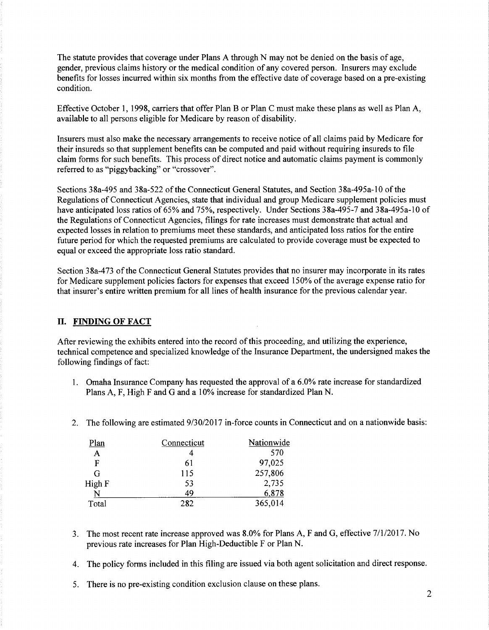The statute provides that coverage under Plans A through N may not be denied on the basis of age, gender, previous claims history or the medical condition of any covered person. Insurers may exclude benefits for losses incurred within six months from the effective date of coverage based on a pre-existing condition.

Effective October 1, 1998, carriers that offer Plan B or Plan C must make these plans as well as Plan A, available to all persons eligible for Medicare by reason of disability.

Insurers must also make the necessary arrangements to receive notice of all claims paid by Medicare for their insureds so that supplement benefits can be computed and paid without requiring insureds to file claim forms for such benefits. This process of direct notice and automatic claims payment is commonly referred to as "piggybacking" or "crossover".

Sections 38a-495 and 38a-522 of the Connecticut General Statutes, and Section 38a-495a-10 ofthe Regulations of Connecticut Agencies, state that individual and group Medicare supplement policies must have anticipated loss ratios of 65% and 75%, respectively. Under Sections 38a-495-7 and 38a-495a-10 of the Regulations of Connecticut Agencies, filings for rate increases must demonstrate that actual and expected losses in relation to premiums meet these standards, and anticipated loss ratios for the entire future period for which the requested premiums are calculated to provide coverage must be expected to equal or exceed the appropriate loss ratio standard.

Section 38a-473 of the Connecticut General Statutes provides that no insurer may incorporate in its rates for Medicare supplement policies factors for expenses that exceed 150% of the average expense ratio for that insurer's entire written premium for all lines of health insurance for the previous calendar year.

#### II. **FINDING OF FACT**

After reviewing the exhibits entered into the record of this proceeding, and utilizing the experience, technical competence and specialized knowledge of the Insurance Department, the undersigned makes the following findings of fact:

- 1. Omaha Insurance Company has requested the approval of a 6.0% rate increase for standardized Plans A, F, High F and G and a 10% increase for standardized Plan N.
- 2. The following are estimated 9/30/2017 in-force counts in Connecticut and on a nationwide basis:

| Plan   | Connecticut | Nationwide |
|--------|-------------|------------|
| A      |             | 570        |
| F      | 61          | 97,025     |
| G      | 115         | 257,806    |
| High F | 53          | 2,735      |
| N      | 49          | 6,878      |
| Total  | 282         | 365,014    |

- 3. The most recent rate increase approved was 8.0% for Plans A, F and G, effective 7/1/2017. No previous rate increases for Plan High-Deductible F or Plan N.
- 4. The policy forms included in this filing are issued via both agent solicitation and direct response.
- 5. There is no pre-existing condition exclusion clause on these plans.